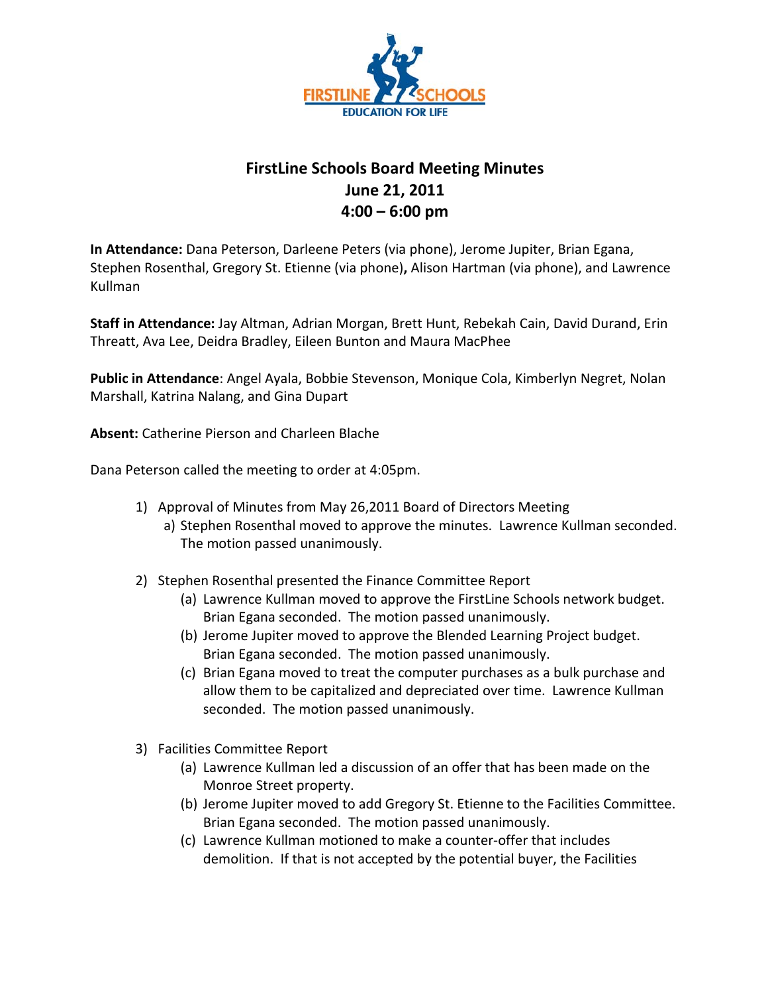

## **FirstLine Schools Board Meeting Minutes June 21, 2011 4:00 – 6:00 pm**

**In Attendance:** Dana Peterson, Darleene Peters (via phone), Jerome Jupiter, Brian Egana, Stephen Rosenthal, Gregory St. Etienne (via phone)**,** Alison Hartman (via phone), and Lawrence Kullman

**Staff in Attendance:** Jay Altman, Adrian Morgan, Brett Hunt, Rebekah Cain, David Durand, Erin Threatt, Ava Lee, Deidra Bradley, Eileen Bunton and Maura MacPhee

**Public in Attendance**: Angel Ayala, Bobbie Stevenson, Monique Cola, Kimberlyn Negret, Nolan Marshall, Katrina Nalang, and Gina Dupart

**Absent:** Catherine Pierson and Charleen Blache

Dana Peterson called the meeting to order at 4:05pm.

- 1) Approval of Minutes from May 26,2011 Board of Directors Meeting a) Stephen Rosenthal moved to approve the minutes. Lawrence Kullman seconded. The motion passed unanimously.
- 2) Stephen Rosenthal presented the Finance Committee Report
	- (a) Lawrence Kullman moved to approve the FirstLine Schools network budget. Brian Egana seconded. The motion passed unanimously.
	- (b) Jerome Jupiter moved to approve the Blended Learning Project budget. Brian Egana seconded. The motion passed unanimously.
	- (c) Brian Egana moved to treat the computer purchases as a bulk purchase and allow them to be capitalized and depreciated over time. Lawrence Kullman seconded. The motion passed unanimously.
- 3) Facilities Committee Report
	- (a) Lawrence Kullman led a discussion of an offer that has been made on the Monroe Street property.
	- (b) Jerome Jupiter moved to add Gregory St. Etienne to the Facilities Committee. Brian Egana seconded. The motion passed unanimously.
	- (c) Lawrence Kullman motioned to make a counter-offer that includes demolition. If that is not accepted by the potential buyer, the Facilities